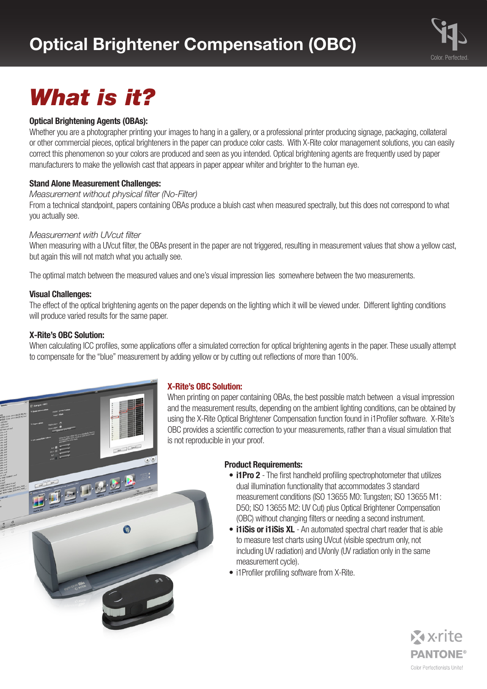

# *What is it?*

#### **Optical Brightening Agents (OBAs):**

Whether you are a photographer printing your images to hang in a gallery, or a professional printer producing signage, packaging, collateral or other commercial pieces, optical brighteners in the paper can produce color casts. With X-Rite color management solutions, you can easily correct this phenomenon so your colors are produced and seen as you intended. Optical brightening agents are frequently used by paper manufacturers to make the yellowish cast that appears in paper appear whiter and brighter to the human eye.

#### **Stand Alone Measurement Challenges:**

#### *Measurement without physical filter (No-Filter)*

From a technical standpoint, papers containing OBAs produce a bluish cast when measured spectrally, but this does not correspond to what you actually see.

#### *Measurement with UVcut filter*

When measuring with a UVcut filter, the OBAs present in the paper are not triggered, resulting in measurement values that show a yellow cast, but again this will not match what you actually see.

The optimal match between the measured values and one's visual impression lies somewhere between the two measurements.

#### **Visual Challenges:**

The effect of the optical brightening agents on the paper depends on the lighting which it will be viewed under. Different lighting conditions will produce varied results for the same paper.

#### **X-Rite's OBC Solution:**

When calculating ICC profiles, some applications offer a simulated correction for optical brightening agents in the paper. These usually attempt to compensate for the "blue" measurement by adding yellow or by cutting out reflections of more than 100%.



#### **X-Rite's OBC Solution:**

When printing on paper containing OBAs, the best possible match between a visual impression and the measurement results, depending on the ambient lighting conditions, can be obtained by using the X-Rite Optical Brightener Compensation function found in i1Profiler software. X-Rite's OBC provides a scientific correction to your measurements, rather than a visual simulation that is not reproducible in your proof.

#### **Product Requirements:**

- **i1Pro 2** The first handheld profiling spectrophotometer that utilizes dual illumination functionality that accommodates 3 standard measurement conditions (ISO 13655 M0: Tungsten; ISO 13655 M1: D50; ISO 13655 M2: UV Cut) plus Optical Brightener Compensation (OBC) without changing filters or needing a second instrument.
- **i1iSis or i1iSis XL** An automated spectral chart reader that is able to measure test charts using UVcut (visible spectrum only, not including UV radiation) and UVonly (UV radiation only in the same measurement cycle).
- i1Profiler profiling software from X-Rite.